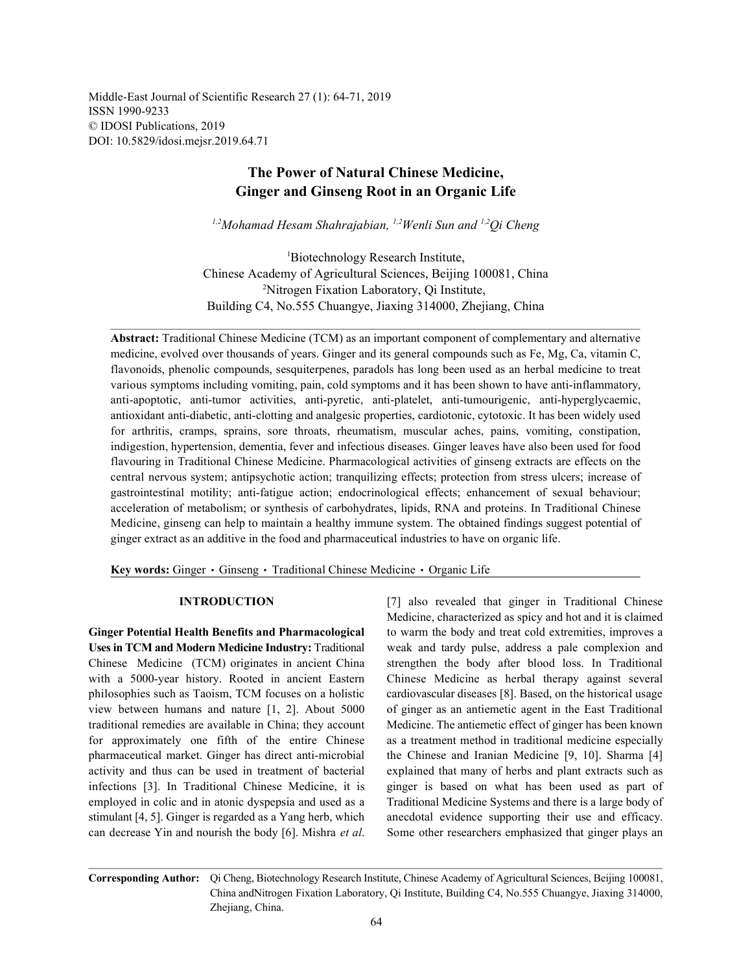Middle-East Journal of Scientific Research 27 (1): 64-71, 2019 ISSN 1990-9233 © IDOSI Publications, 2019 DOI: 10.5829/idosi.mejsr.2019.64.71

## **The Power of Natural Chinese Medicine, Ginger and Ginseng Root in an Organic Life**

<sup>1,2</sup>Mohamad Hesam Shahrajabian, <sup>1,2</sup>Wenli Sun and <sup>1,2</sup>Qi Cheng

Biotechnology Research Institute, <sup>1</sup> Chinese Academy of Agricultural Sciences, Beijing 100081, China <sup>2</sup>Nitrogen Fixation Laboratory, Qi Institute, Building C4, No.555 Chuangye, Jiaxing 314000, Zhejiang, China

**Abstract:** Traditional Chinese Medicine (TCM) as an important component of complementary and alternative medicine, evolved over thousands of years. Ginger and its general compounds such as Fe, Mg, Ca, vitamin C, flavonoids, phenolic compounds, sesquiterpenes, paradols has long been used as an herbal medicine to treat various symptoms including vomiting, pain, cold symptoms and it has been shown to have anti-inflammatory, anti-apoptotic, anti-tumor activities, anti-pyretic, anti-platelet, anti-tumourigenic, anti-hyperglycaemic, antioxidant anti-diabetic, anti-clotting and analgesic properties, cardiotonic, cytotoxic. It has been widely used for arthritis, cramps, sprains, sore throats, rheumatism, muscular aches, pains, vomiting, constipation, indigestion, hypertension, dementia, fever and infectious diseases. Ginger leaves have also been used for food flavouring in Traditional Chinese Medicine. Pharmacological activities of ginseng extracts are effects on the central nervous system; antipsychotic action; tranquilizing effects; protection from stress ulcers; increase of gastrointestinal motility; anti-fatigue action; endocrinological effects; enhancement of sexual behaviour; acceleration of metabolism; or synthesis of carbohydrates, lipids, RNA and proteins. In Traditional Chinese Medicine, ginseng can help to maintain a healthy immune system. The obtained findings suggest potential of ginger extract as an additive in the food and pharmaceutical industries to have on organic life.

**Key words:** Ginger · Ginseng · Traditional Chinese Medicine · Organic Life

**Uses in TCM and Modern Medicine Industry:** Traditional weak and tardy pulse, address a pale complexion and Chinese Medicine (TCM) originates in ancient China strengthen the body after blood loss. In Traditional with a 5000-year history. Rooted in ancient Eastern Chinese Medicine as herbal therapy against several philosophies such as Taoism, TCM focuses on a holistic cardiovascular diseases [8]. Based, on the historical usage view between humans and nature [1, 2]. About 5000 of ginger as an antiemetic agent in the East Traditional traditional remedies are available in China; they account Medicine. The antiemetic effect of ginger has been known for approximately one fifth of the entire Chinese as a treatment method in traditional medicine especially pharmaceutical market. Ginger has direct anti-microbial the Chinese and Iranian Medicine [9, 10]. Sharma [4] activity and thus can be used in treatment of bacterial explained that many of herbs and plant extracts such as infections [3]. In Traditional Chinese Medicine, it is ginger is based on what has been used as part of employed in colic and in atonic dyspepsia and used as a Traditional Medicine Systems and there is a large body of stimulant [4, 5]. Ginger is regarded as a Yang herb, which anecdotal evidence supporting their use and efficacy. can decrease Yin and nourish the body [6]. Mishra *et al*. Some other researchers emphasized that ginger plays an

**INTRODUCTION** [7] also revealed that ginger in Traditional Chinese **Ginger Potential Health Benefits and Pharmacological** to warm the body and treat cold extremities, improves a Medicine, characterized as spicy and hot and it is claimed

**Corresponding Author:** Qi Cheng, Biotechnology Research Institute, Chinese Academy of Agricultural Sciences, Beijing 100081, China andNitrogen Fixation Laboratory, Qi Institute, Building C4, No.555 Chuangye, Jiaxing 314000, Zhejiang, China.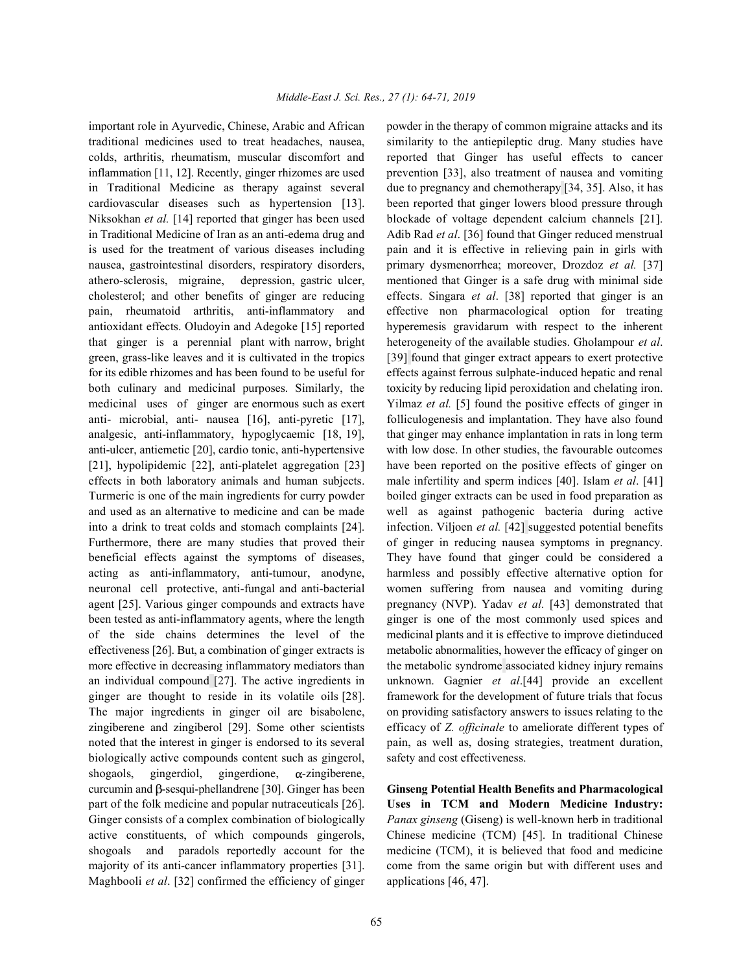traditional medicines used to treat headaches, nausea, similarity to the antiepileptic drug. Many studies have colds, arthritis, rheumatism, muscular discomfort and reported that Ginger has useful effects to cancer inflammation [11, 12]. Recently, ginger rhizomes are used prevention [33], also treatment of nausea and vomiting in Traditional Medicine as therapy against several due to pregnancy and chemotherapy [34, 35]. Also, it has cardiovascular diseases such as hypertension [13]. been reported that ginger lowers blood pressure through Niksokhan *et al.* [14] reported that ginger has been used blockade of voltage dependent calcium channels [21]. in Traditional Medicine of Iran as an anti-edema drug and Adib Rad *et al*. [36] found that Ginger reduced menstrual is used for the treatment of various diseases including pain and it is effective in relieving pain in girls with nausea, gastrointestinal disorders, respiratory disorders, primary dysmenorrhea; moreover, Drozdoz *et al.* [37] athero-sclerosis, migraine, depression, gastric ulcer, mentioned that Ginger is a safe drug with minimal side cholesterol; and other benefits of ginger are reducing effects. Singara *et al*. [38] reported that ginger is an pain, rheumatoid arthritis, anti-inflammatory and effective non pharmacological option for treating antioxidant effects. Oludoyin and Adegoke [15] reported hyperemesis gravidarum with respect to the inherent that ginger is a perennial plant with narrow, bright heterogeneity of the available studies. Gholampour *et al*. green, grass-like leaves and it is cultivated in the tropics [39] found that ginger extract appears to exert protective for its edible rhizomes and has been found to be useful for effects against ferrous sulphate-induced hepatic and renal both culinary and medicinal purposes. Similarly, the toxicity by reducing lipid peroxidation and chelating iron. medicinal uses of ginger are enormous such as exert Yilmaz *et al.* [5] found the positive effects of ginger in anti- microbial, anti- nausea [16], anti-pyretic [17], folliculogenesis and implantation. They have also found analgesic, anti-inflammatory, hypoglycaemic [18, 19], that ginger may enhance implantation in rats in long term anti-ulcer, antiemetic [20], cardio tonic, anti-hypertensive with low dose. In other studies, the favourable outcomes [21], hypolipidemic [22], anti-platelet aggregation [23] have been reported on the positive effects of ginger on effects in both laboratory animals and human subjects. male infertility and sperm indices [40]. Islam *et al*. [41] Turmeric is one of the main ingredients for curry powder boiled ginger extracts can be used in food preparation as and used as an alternative to medicine and can be made well as against pathogenic bacteria during active into a drink to treat colds and stomach complaints [24]. infection. Viljoen *et al.* [42] suggested potential benefits Furthermore, there are many studies that proved their of ginger in reducing nausea symptoms in pregnancy. beneficial effects against the symptoms of diseases, They have found that ginger could be considered a acting as anti-inflammatory, anti-tumour, anodyne, harmless and possibly effective alternative option for neuronal cell protective, anti-fungal and anti-bacterial women suffering from nausea and vomiting during agent [25]. Various ginger compounds and extracts have pregnancy (NVP). Yadav *et al.* [43] demonstrated that been tested as anti-inflammatory agents, where the length ginger is one of the most commonly used spices and of the side chains determines the level of the medicinal plants and it is effective to improve dietinduced effectiveness [26]. But, a combination of ginger extracts is metabolic abnormalities, however the efficacy of ginger on more effective in decreasing inflammatory mediators than the metabolic syndrome associated kidney injury remains an individual compound [27]. The active ingredients in unknown. Gagnier *et al*.[44] provide an excellent ginger are thought to reside in its volatile oils [28]. framework for the development of future trials that focus The major ingredients in ginger oil are bisabolene, on providing satisfactory answers to issues relating to the zingiberene and zingiberol [29]. Some other scientists efficacy of *Z. officinale* to ameliorate different types of noted that the interest in ginger is endorsed to its several pain, as well as, dosing strategies, treatment duration, biologically active compounds content such as gingerol, safety and cost effectiveness. shogaols, gingerdiol, gingerdione,  $\alpha$ -zingiberene, curcumin and  $\beta$ -sesqui-phellandrene [30]. Ginger has been **Ginseng Potential Health Benefits and Pharmacological** part of the folk medicine and popular nutraceuticals [26]. **Uses in TCM and Modern Medicine Industry:** Ginger consists of a complex combination of biologically *Panax ginseng* (Giseng) is well-known herb in traditional active constituents, of which compounds gingerols, Chinese medicine (TCM) [45]. In traditional Chinese shogoals and paradols reportedly account for the medicine (TCM), it is believed that food and medicine majority of its anti-cancer inflammatory properties [31]. come from the same origin but with different uses and Maghbooli *et al*. [32] confirmed the efficiency of ginger applications [46, 47].

important role in Ayurvedic, Chinese, Arabic and African powder in the therapy of common migraine attacks and its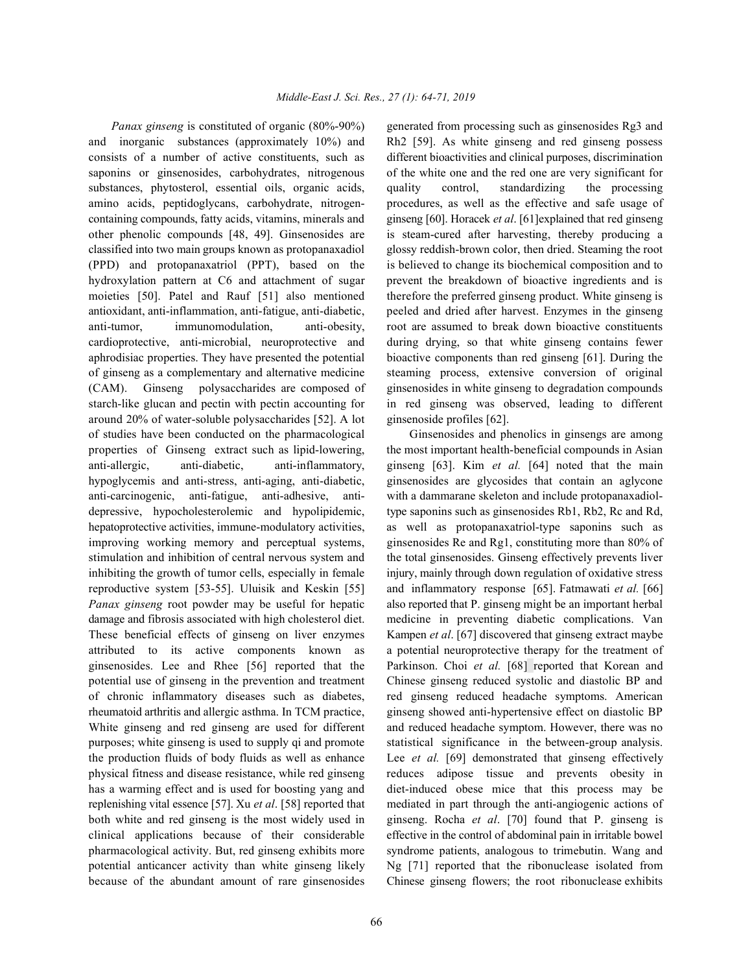and inorganic substances (approximately 10%) and Rh2 [59]. As white ginseng and red ginseng possess consists of a number of active constituents, such as different bioactivities and clinical purposes, discrimination saponins or ginsenosides, carbohydrates, nitrogenous of the white one and the red one are very significant for substances, phytosterol, essential oils, organic acids, quality control, standardizing the processing amino acids, peptidoglycans, carbohydrate, nitrogen- procedures, as well as the effective and safe usage of containing compounds, fatty acids, vitamins, minerals and ginseng [60]. Horacek *et al*. [61]explained that red ginseng other phenolic compounds [48, 49]. Ginsenosides are is steam-cured after harvesting, thereby producing a classified into two main groups known as protopanaxadiol glossy reddish-brown color, then dried. Steaming the root (PPD) and protopanaxatriol (PPT), based on the is believed to change its biochemical composition and to hydroxylation pattern at C6 and attachment of sugar prevent the breakdown of bioactive ingredients and is moieties [50]. Patel and Rauf [51] also mentioned therefore the preferred ginseng product. White ginseng is antioxidant, anti-inflammation, anti-fatigue, anti-diabetic, peeled and dried after harvest. Enzymes in the ginseng anti-tumor, immunomodulation, anti-obesity, root are assumed to break down bioactive constituents cardioprotective, anti-microbial, neuroprotective and during drying, so that white ginseng contains fewer aphrodisiac properties. They have presented the potential bioactive components than red ginseng [61]. During the of ginseng as a complementary and alternative medicine steaming process, extensive conversion of original (CAM). Ginseng polysaccharides are composed of ginsenosides in white ginseng to degradation compounds starch-like glucan and pectin with pectin accounting for in red ginseng was observed, leading to different around 20% of water-soluble polysaccharides [52]. A lot ginsenoside profiles [62]. of studies have been conducted on the pharmacological Ginsenosides and phenolics in ginsengs are among properties of Ginseng extract such as lipid-lowering, the most important health-beneficial compounds in Asian anti-allergic, anti-diabetic, anti-inflammatory, ginseng [63]. Kim *et al.* [64] noted that the main hypoglycemis and anti-stress, anti-aging, anti-diabetic, ginsenosides are glycosides that contain an aglycone anti-carcinogenic, anti-fatigue, anti-adhesive, anti- with a dammarane skeleton and include protopanaxadioldepressive, hypocholesterolemic and hypolipidemic, type saponins such as ginsenosides Rb1, Rb2, Rc and Rd, hepatoprotective activities, immune-modulatory activities, as well as protopanaxatriol-type saponins such as improving working memory and perceptual systems, ginsenosides Re and Rg1, constituting more than 80% of stimulation and inhibition of central nervous system and the total ginsenosides. Ginseng effectively prevents liver inhibiting the growth of tumor cells, especially in female injury, mainly through down regulation of oxidative stress reproductive system [53-55]. Uluisik and Keskin [55] and inflammatory response [65]. Fatmawati *et al.* [66] *Panax ginseng* root powder may be useful for hepatic also reported that P. ginseng might be an important herbal damage and fibrosis associated with high cholesterol diet. medicine in preventing diabetic complications. Van These beneficial effects of ginseng on liver enzymes Kampen *et al*. [67] discovered that ginseng extract maybe attributed to its active components known as a potential neuroprotective therapy for the treatment of ginsenosides. Lee and Rhee [56] reported that the Parkinson. Choi *et al.* [68] reported that Korean and potential use of ginseng in the prevention and treatment Chinese ginseng reduced systolic and diastolic BP and of chronic inflammatory diseases such as diabetes, red ginseng reduced headache symptoms. American rheumatoid arthritis and allergic asthma. In TCM practice, ginseng showed anti-hypertensive effect on diastolic BP White ginseng and red ginseng are used for different and reduced headache symptom. However, there was no purposes; white ginseng is used to supply qi and promote statistical significance in the between-group analysis. the production fluids of body fluids as well as enhance Lee *et al.* [69] demonstrated that ginseng effectively physical fitness and disease resistance, while red ginseng reduces adipose tissue and prevents obesity in has a warming effect and is used for boosting yang and diet-induced obese mice that this process may be replenishing vital essence [57]. Xu *et al*. [58] reported that mediated in part through the anti-angiogenic actions of both white and red ginseng is the most widely used in ginseng. Rocha *et al*. [70] found that P. ginseng is clinical applications because of their considerable effective in the control of abdominal pain in irritable bowel pharmacological activity. But, red ginseng exhibits more syndrome patients, analogous to trimebutin. Wang and potential anticancer activity than white ginseng likely Ng [71] reported that the ribonuclease isolated from because of the abundant amount of rare ginsenosides Chinese ginseng flowers; the root ribonuclease exhibits

*Panax ginseng* is constituted of organic (80%-90%) generated from processing such as ginsenosides Rg3 and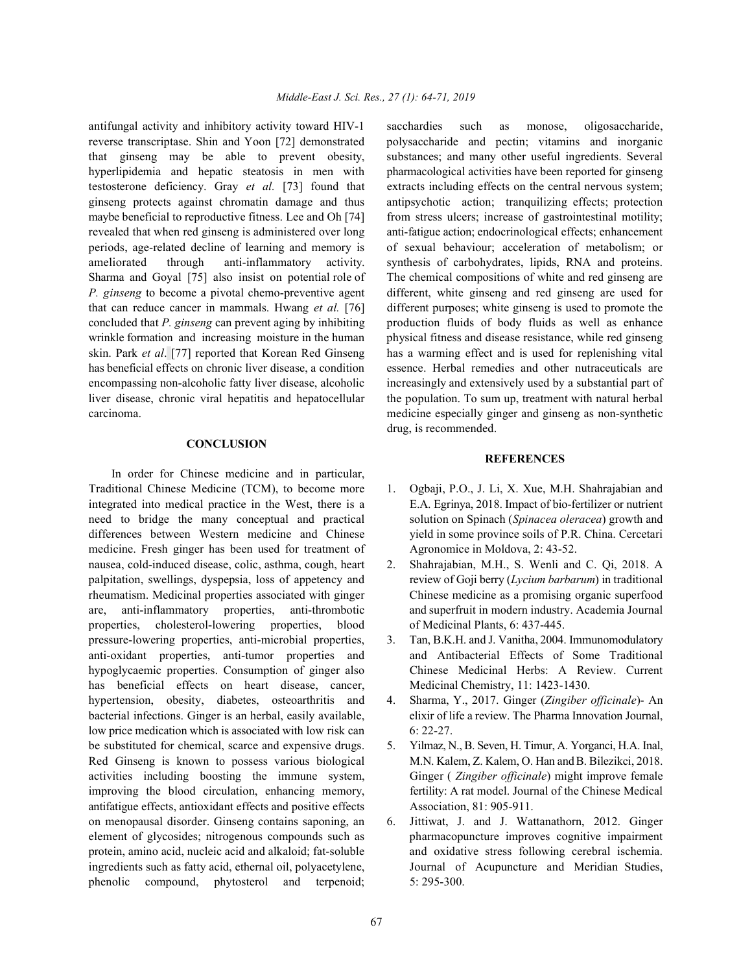reverse transcriptase. Shin and Yoon [72] demonstrated polysaccharide and pectin; vitamins and inorganic that ginseng may be able to prevent obesity, substances; and many other useful ingredients. Several hyperlipidemia and hepatic steatosis in men with pharmacological activities have been reported for ginseng testosterone deficiency. Gray *et al.* [73] found that extracts including effects on the central nervous system; ginseng protects against chromatin damage and thus antipsychotic action; tranquilizing effects; protection maybe beneficial to reproductive fitness. Lee and Oh [74] from stress ulcers; increase of gastrointestinal motility; revealed that when red ginseng is administered over long anti-fatigue action; endocrinological effects; enhancement periods, age-related decline of learning and memory is of sexual behaviour; acceleration of metabolism; or ameliorated through anti-inflammatory activity. synthesis of carbohydrates, lipids, RNA and proteins. Sharma and Goyal [75] also insist on potential role of The chemical compositions of white and red ginseng are *P. ginseng* to become a pivotal chemo-preventive agent different, white ginseng and red ginseng are used for that can reduce cancer in mammals. Hwang *et al.* [76] different purposes; white ginseng is used to promote the concluded that *P. ginseng* can prevent aging by inhibiting production fluids of body fluids as well as enhance wrinkle formation and increasing moisture in the human physical fitness and disease resistance, while red ginseng skin. Park *et al*. [77] reported that Korean Red Ginseng has a warming effect and is used for replenishing vital has beneficial effects on chronic liver disease, a condition essence. Herbal remedies and other nutraceuticals are encompassing non-alcoholic fatty liver disease, alcoholic increasingly and extensively used by a substantial part of liver disease, chronic viral hepatitis and hepatocellular the population. To sum up, treatment with natural herbal carcinoma. medicine especially ginger and ginseng as non-synthetic

## **CONCLUSION**

In order for Chinese medicine and in particular, Traditional Chinese Medicine (TCM), to become more 1. Ogbaji, P.O., J. Li, X. Xue, M.H. Shahrajabian and integrated into medical practice in the West, there is a E.A. Egrinya, 2018. Impact of bio-fertilizer or nutrient need to bridge the many conceptual and practical solution on Spinach (*Spinacea oleracea*) growth and differences between Western medicine and Chinese yield in some province soils of P.R. China. Cercetari medicine. Fresh ginger has been used for treatment of Agronomice in Moldova, 2: 43-52. nausea, cold-induced disease, colic, asthma, cough, heart 2. Shahrajabian, M.H., S. Wenli and C. Qi, 2018. A palpitation, swellings, dyspepsia, loss of appetency and review of Goji berry (*Lycium barbarum*) in traditional rheumatism. Medicinal properties associated with ginger Chinese medicine as a promising organic superfood are, anti-inflammatory properties, anti-thrombotic and superfruit in modern industry. Academia Journal properties, cholesterol-lowering properties, blood of Medicinal Plants, 6: 437-445. pressure-lowering properties, anti-microbial properties, 3. Tan, B.K.H. and J. Vanitha, 2004. Immunomodulatory anti-oxidant properties, anti-tumor properties and and Antibacterial Effects of Some Traditional hypoglycaemic properties. Consumption of ginger also Chinese Medicinal Herbs: A Review. Current has beneficial effects on heart disease, cancer, Medicinal Chemistry, 11: 1423-1430. hypertension, obesity, diabetes, osteoarthritis and 4. Sharma, Y., 2017. Ginger (*Zingiber officinale*)- An bacterial infections. Ginger is an herbal, easily available, elixir of life a review. The Pharma Innovation Journal, low price medication which is associated with low risk can 6: 22-27. be substituted for chemical, scarce and expensive drugs. 5. Yilmaz, N., B. Seven, H. Timur, A. Yorganci, H.A. Inal, Red Ginseng is known to possess various biological M.N. Kalem, Z. Kalem, O. Han and B. Bilezikci, 2018. activities including boosting the immune system, Ginger ( *Zingiber officinale*) might improve female improving the blood circulation, enhancing memory, fertility: A rat model. Journal of the Chinese Medical antifatigue effects, antioxidant effects and positive effects Association, 81: 905-911. on menopausal disorder. Ginseng contains saponing, an 6. Jittiwat, J. and J. Wattanathorn, 2012. Ginger phenolic compound, phytosterol and terpenoid; 5: 295-300.

antifungal activity and inhibitory activity toward HIV-1 sacchardies such as monose, oligosaccharide, drug, is recommended.

## **REFERENCES**

- 
- 
- 
- 
- 
- element of glycosides; nitrogenous compounds such as pharmacopuncture improves cognitive impairment protein, amino acid, nucleic acid and alkaloid; fat-soluble and oxidative stress following cerebral ischemia. ingredients such as fatty acid, ethernal oil, polyacetylene, Journal of Acupuncture and Meridian Studies,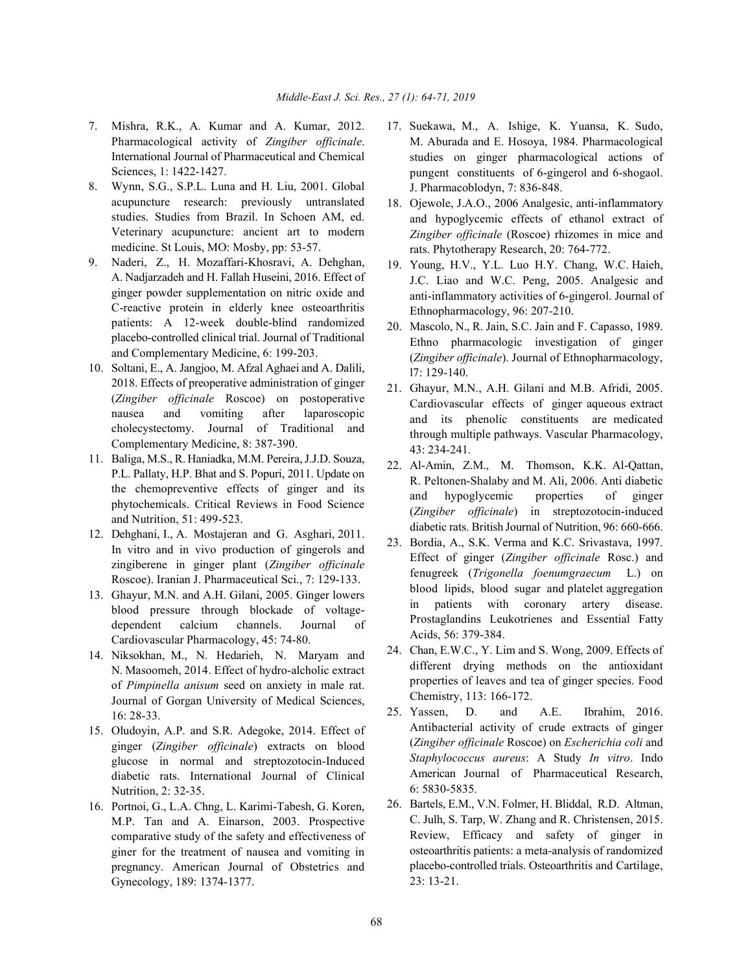- 7. Mishra, R.K., A. Kumar and A. Kumar, 2012. 17. Suekawa, M., A. Ishige, K. Yuansa, K. Sudo, Pharmacological activity of *Zingiber officinale*. International Journal of Pharmaceutical and Chemical Sciences, 1: 1422-1427.
- 8. Wynn, S.G., S.P.L. Luna and H. Liu, 2001. Global acupuncture research: previously untranslated studies. Studies from Brazil. In Schoen AM, ed. Veterinary acupuncture: ancient art to modern medicine. St Louis, MO: Mosby, pp: 53-57.
- 9. Naderi, Z., H. Mozaffari-Khosravi, A. Dehghan, A. Nadjarzadeh and H. Fallah Huseini, 2016. Effect of ginger powder supplementation on nitric oxide and C-reactive protein in elderly knee osteoarthritis patients: A 12-week double-blind randomized placebo-controlled clinical trial. Journal of Traditional and Complementary Medicine, 6: 199-203.
- 10. Soltani, E., A. Jangjoo, M. Afzal Aghaei and A. Dalili, 2018. Effects of preoperative administration of ginger (*Zingiber officinale* Roscoe) on postoperative nausea and vomiting after laparoscopic cholecystectomy. Journal of Traditional and Complementary Medicine, 8: 387-390.
- 11. Baliga, M.S., R. Haniadka, M.M. Pereira, J.J.D. Souza, P.L. Pallaty, H.P. Bhat and S. Popuri, 2011. Update on the chemopreventive effects of ginger and its phytochemicals. Critical Reviews in Food Science and Nutrition, 51: 499-523.
- 12. Dehghani, I., A. Mostajeran and G. Asghari, 2011. In vitro and in vivo production of gingerols and zingiberene in ginger plant (*Zingiber officinale* Roscoe). Iranian J. Pharmaceutical Sci., 7: 129-133.
- 13. Ghayur, M.N. and A.H. Gilani, 2005. Ginger lowers blood pressure through blockade of voltagedependent calcium channels. Journal of Cardiovascular Pharmacology, 45: 74-80.
- 14. Niksokhan, M., N. Hedarieh, N. Maryam and N. Masoomeh, 2014. Effect of hydro-alcholic extract of *Pimpinella anisum* seed on anxiety in male rat. Journal of Gorgan University of Medical Sciences, 16: 28-33.
- 15. Oludoyin, A.P. and S.R. Adegoke, 2014. Effect of ginger (*Zingiber officinale*) extracts on blood glucose in normal and streptozotocin-Induced diabetic rats. International Journal of Clinical Nutrition, 2: 32-35.
- 16. Portnoi, G., L.A. Chng, L. Karimi-Tabesh, G. Koren, M.P. Tan and A. Einarson, 2003. Prospective comparative study of the safety and effectiveness of giner for the treatment of nausea and vomiting in pregnancy. American Journal of Obstetrics and Gynecology, 189: 1374-1377.
- M. Aburada and E. Hosoya, 1984. Pharmacological studies on ginger pharmacological actions of pungent constituents of 6-gingerol and 6-shogaol. J. Pharmacoblodyn, 7: 836-848.
- 18. Ojewole, J.A.O., 2006 Analgesic, anti-inflammatory and hypoglycemic effects of ethanol extract of *Zingiber officinale* (Roscoe) rhizomes in mice and rats. Phytotherapy Research, 20: 764-772.
- 19. Young, H.V., Y.L. Luo H.Y. Chang, W.C. Haieh, J.C. Liao and W.C. Peng, 2005. Analgesic and anti-inflammatory activities of 6-gingerol. Journal of Ethnopharmacology, 96: 207-210.
- 20. Mascolo, N., R. Jain, S.C. Jain and F. Capasso, 1989. Ethno pharmacologic investigation of ginger (*Zingiber officinale*). Journal of Ethnopharmacology, l7: 129-140.
- 21. Ghayur, M.N., A.H. Gilani and M.B. Afridi, 2005. Cardiovascular effects of ginger aqueous extract and its phenolic constituents are medicated through multiple pathways. Vascular Pharmacology, 43: 234-241.
- 22. Al-Amin, Z.M., M. Thomson, K.K. Al-Qattan, R. Peltonen-Shalaby and M. Ali, 2006. Anti diabetic and hypoglycemic properties of ginger (*Zingiber officinale*) in streptozotocin-induced diabetic rats. British Journal of Nutrition, 96: 660-666.
- 23. Bordia, A., S.K. Verma and K.C. Srivastava, 1997. Effect of ginger (*Zingiber officinale* Rosc.) and fenugreek (*Trigonella foenumgraecum* L.) on blood lipids, blood sugar and platelet aggregation in patients with coronary artery disease. Prostaglandins Leukotrienes and Essential Fatty Acids, 56: 379-384.
- 24. Chan, E.W.C., Y. Lim and S. Wong, 2009. Effects of different drying methods on the antioxidant properties of leaves and tea of ginger species. Food Chemistry, 113: 166-172.
- 25. Yassen, D. and A.E. Ibrahim, 2016. Antibacterial activity of crude extracts of ginger (*Zingiber officinale* Roscoe) on *Escherichia coli* and *Staphylococcus aureus*: A Study *In vitro*. Indo American Journal of Pharmaceutical Research, 6: 5830-5835.
- 26. Bartels, E.M., V.N. Folmer, H. Bliddal, R.D. Altman, C. Julh, S. Tarp, W. Zhang and R. Christensen, 2015. Review, Efficacy and safety of ginger in osteoarthritis patients: a meta-analysis of randomized placebo-controlled trials. Osteoarthritis and Cartilage, 23: 13-21.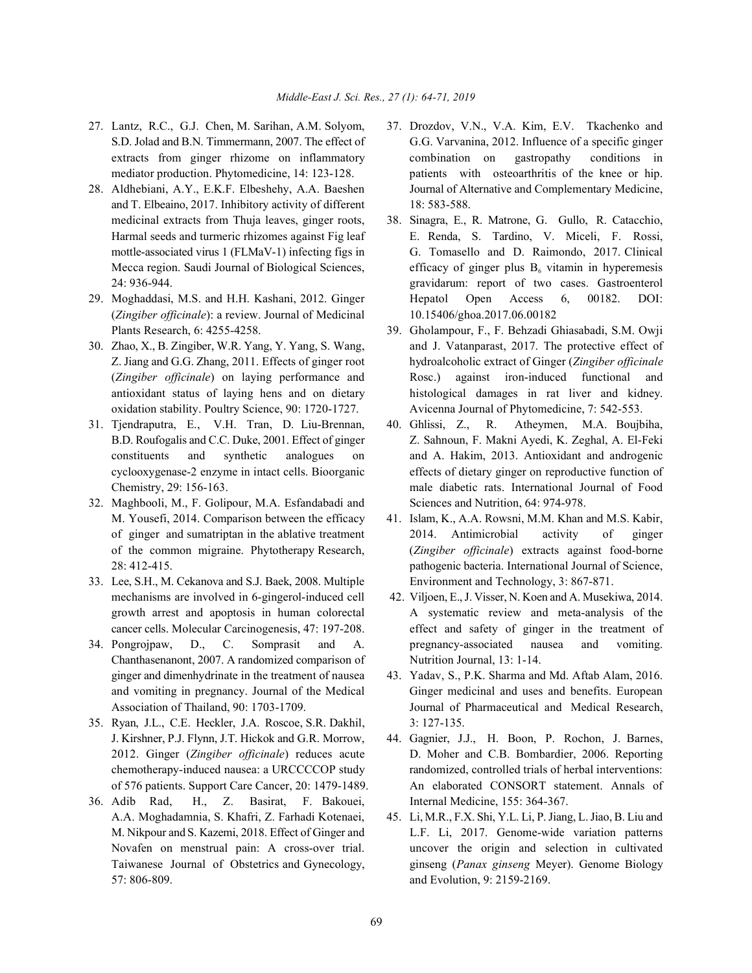- 
- and T. Elbeaino, 2017. Inhibitory activity of different 18: 583-588. Mecca region. Saudi Journal of Biological Sciences,
- (*Zingiber officinale*): a review. Journal of Medicinal 10.15406/ghoa.2017.06.00182 Plants Research, 6: 4255-4258. 39. Gholampour, F., F. Behzadi Ghiasabadi, S.M. Owji
- 
- 
- 32. Maghbooli, M., F. Golipour, M.A. Esfandabadi and Sciences and Nutrition, 64: 974-978. M. Yousefi, 2014. Comparison between the efficacy 41. Islam, K., A.A. Rowsni, M.M. Khan and M.S. Kabir,
- 33. Lee, S.H., M. Cekanova and S.J. Baek, 2008. Multiple Environment and Technology, 3: 867-871.
- 34. Pongrojpaw, D., C. Somprasit and A. pregnancy-associated nausea and vomiting. Chanthasenanont, 2007. A randomized comparison of Nutrition Journal, 13: 1-14. ginger and dimenhydrinate in the treatment of nausea 43. Yadav, S., P.K. Sharma and Md. Aftab Alam, 2016.
- 35. Ryan, J.L., C.E. Heckler, J.A. Roscoe, S.R. Dakhil, 3: 127-135.
- 36. Adib Rad, H., Z. Basirat, F. Bakouei, Internal Medicine, 155: 364-367. A.A. Moghadamnia, S. Khafri, Z. Farhadi Kotenaei, 45. Li, M.R., F.X. Shi, Y.L. Li, P. Jiang, L. Jiao, B. Liu and 57: 806-809. and Evolution, 9: 2159-2169.
- 27. Lantz, R.C., G.J. Chen, M. Sarihan, A.M. Solyom, 37. Drozdov, V.N., V.A. Kim, E.V. Tkachenko and S.D. Jolad and B.N. Timmermann, 2007. The effect of G.G. Varvanina, 2012. Influence of a specific ginger extracts from ginger rhizome on inflammatory combination on gastropathy conditions in mediator production. Phytomedicine, 14: 123-128. patients with osteoarthritis of the knee or hip. 28. Aldhebiani, A.Y., E.K.F. Elbeshehy, A.A. Baeshen Journal of Alternative and Complementary Medicine,
- medicinal extracts from Thuja leaves, ginger roots, 38. Sinagra, E., R. Matrone, G. Gullo, R. Catacchio, Harmal seeds and turmeric rhizomes against Fig leaf E. Renda, S. Tardino, V. Miceli, F. Rossi, mottle-associated virus 1 (FLMaV-1) infecting figs in G. Tomasello and D. Raimondo, 2017. Clinical 24: 936-944. gravidarum: report of two cases. Gastroenterol 29. Moghaddasi, M.S. and H.H. Kashani, 2012. Ginger Hepatol Open Access 6, 00182. DOI: efficacy of ginger plus  $B_6$  vitamin in hyperemesis
- 30. Zhao, X., B. Zingiber, W.R. Yang, Y. Yang, S. Wang, and J. Vatanparast, 2017. The protective effect of Z. Jiang and G.G. Zhang, 2011. Effects of ginger root hydroalcoholic extract of Ginger (*Zingiber officinale* (*Zingiber officinale*) on laying performance and Rosc.) against iron-induced functional and antioxidant status of laying hens and on dietary histological damages in rat liver and kidney. oxidation stability. Poultry Science, 90: 1720-1727. Avicenna Journal of Phytomedicine, 7: 542-553.
- 31. Tjendraputra, E., V.H. Tran, D. Liu-Brennan, 40. Ghlissi, Z., R. Atheymen, M.A. Boujbiha, B.D. Roufogalis and C.C. Duke, 2001. Effect of ginger Z. Sahnoun, F. Makni Ayedi, K. Zeghal, A. El-Feki constituents and synthetic analogues on and A. Hakim, 2013. Antioxidant and androgenic cyclooxygenase-2 enzyme in intact cells. Bioorganic effects of dietary ginger on reproductive function of Chemistry, 29: 156-163. male diabetic rats. International Journal of Food
	- of ginger and sumatriptan in the ablative treatment 2014. Antimicrobial activity of ginger of the common migraine. Phytotherapy Research, (*Zingiber officinale*) extracts against food-borne 28: 412-415. pathogenic bacteria. International Journal of Science,
	- mechanisms are involved in 6-gingerol-induced cell 42. Viljoen, E., J. Visser, N. Koen and A. Musekiwa, 2014. growth arrest and apoptosis in human colorectal A systematic review and meta-analysis of the cancer cells. Molecular Carcinogenesis, 47: 197-208. effect and safety of ginger in the treatment of
	- and vomiting in pregnancy. Journal of the Medical Ginger medicinal and uses and benefits. European Association of Thailand, 90: 1703-1709. Journal of Pharmaceutical and Medical Research,
	- J. Kirshner, P.J. Flynn, J.T. Hickok and G.R. Morrow, 44. Gagnier, J.J., H. Boon, P. Rochon, J. Barnes, 2012. Ginger (*Zingiber officinale*) reduces acute D. Moher and C.B. Bombardier, 2006. Reporting chemotherapy-induced nausea: a URCCCCOP study randomized, controlled trials of herbal interventions: of 576 patients. Support Care Cancer, 20: 1479-1489. An elaborated CONSORT statement. Annals of
	- M. Nikpour and S. Kazemi, 2018. Effect of Ginger and L.F. Li, 2017. Genome-wide variation patterns Novafen on menstrual pain: A cross-over trial. uncover the origin and selection in cultivated Taiwanese Journal of Obstetrics and Gynecology, ginseng (*Panax ginseng* Meyer). Genome Biology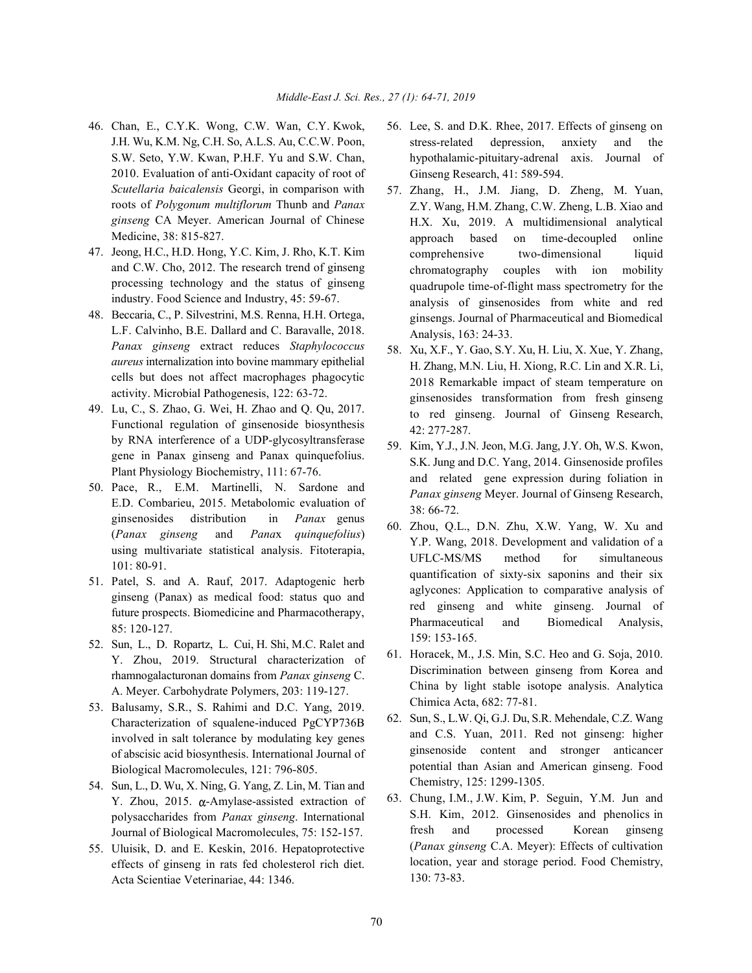- 46. Chan, E., C.Y.K. Wong, C.W. Wan, C.Y. Kwok, 56. Lee, S. and D.K. Rhee, 2017. Effects of ginseng on J.H. Wu, K.M. Ng, C.H. So, A.L.S. Au, C.C.W. Poon, S.W. Seto, Y.W. Kwan, P.H.F. Yu and S.W. Chan, 2010. Evaluation of anti-Oxidant capacity of root of *Scutellaria baicalensis* Georgi, in comparison with roots of *Polygonum multiflorum* Thunb and *Panax ginseng* CA Meyer. American Journal of Chinese Medicine, 38: 815-827.
- 47. Jeong, H.C., H.D. Hong, Y.C. Kim, J. Rho, K.T. Kim and C.W. Cho, 2012. The research trend of ginseng processing technology and the status of ginseng industry. Food Science and Industry, 45: 59-67.
- 48. Beccaria, C., P. Silvestrini, M.S. Renna, H.H. Ortega, L.F. Calvinho, B.E. Dallard and C. Baravalle, 2018. *Panax ginseng* extract reduces *Staphylococcus aureus* internalization into bovine mammary epithelial cells but does not affect macrophages phagocytic activity. Microbial Pathogenesis, 122: 63-72.
- 49. Lu, C., S. Zhao, G. Wei, H. Zhao and Q. Qu, 2017. Functional regulation of ginsenoside biosynthesis by RNA interference of a UDP-glycosyltransferase gene in Panax ginseng and Panax quinquefolius. Plant Physiology Biochemistry, 111: 67-76.
- 50. Pace, R., E.M. Martinelli, N. Sardone and E.D. Combarieu, 2015. Metabolomic evaluation of ginsenosides distribution in *Panax* genus (*Panax ginseng* and *Pana*x *quinquefolius*) using multivariate statistical analysis. Fitoterapia, 101: 80-91.
- 51. Patel, S. and A. Rauf, 2017. Adaptogenic herb ginseng (Panax) as medical food: status quo and future prospects. Biomedicine and Pharmacotherapy, 85: 120-127.
- 52. Sun, L., D. Ropartz, L. Cui, H. Shi, M.C. Ralet and Y. Zhou, 2019. Structural characterization of rhamnogalacturonan domains from *Panax ginseng* C. A. Meyer. Carbohydrate Polymers, 203: 119-127.
- 53. Balusamy, S.R., S. Rahimi and D.C. Yang, 2019. Characterization of squalene-induced PgCYP736B involved in salt tolerance by modulating key genes of abscisic acid biosynthesis. International Journal of Biological Macromolecules, 121: 796-805.
- 54. Sun, L., D. Wu, X. Ning, G. Yang, Z. Lin, M. Tian and Y. Zhou,  $2015$ .  $\alpha$ -Amylase-assisted extraction of polysaccharides from *Panax ginseng*. International Journal of Biological Macromolecules, 75: 152-157.
- 55. Uluisik, D. and E. Keskin, 2016. Hepatoprotective effects of ginseng in rats fed cholesterol rich diet. Acta Scientiae Veterinariae, 44: 1346.
- stress-related depression, anxiety and the hypothalamic-pituitary-adrenal axis. Journal of Ginseng Research, 41: 589-594.
- 57. Zhang, H., J.M. Jiang, D. Zheng, M. Yuan, Z.Y. Wang, H.M. Zhang, C.W. Zheng, L.B. Xiao and H.X. Xu, 2019. A multidimensional analytical approach based on time-decoupled online comprehensive two-dimensional liquid chromatography couples with ion mobility quadrupole time-of-flight mass spectrometry for the analysis of ginsenosides from white and red ginsengs. Journal of Pharmaceutical and Biomedical Analysis, 163: 24-33.
- 58. Xu, X.F., Y. Gao, S.Y. Xu, H. Liu, X. Xue, Y. Zhang, H. Zhang, M.N. Liu, H. Xiong, R.C. Lin and X.R. Li, 2018 Remarkable impact of steam temperature on ginsenosides transformation from fresh ginseng to red ginseng. Journal of Ginseng Research, 42: 277-287.
- 59. Kim, Y.J., J.N. Jeon, M.G. Jang, J.Y. Oh, W.S. Kwon, S.K. Jung and D.C. Yang, 2014. Ginsenoside profiles and related gene expression during foliation in *Panax ginseng* Meyer. Journal of Ginseng Research, 38: 66-72.
- 60. Zhou, Q.L., D.N. Zhu, X.W. Yang, W. Xu and Y.P. Wang, 2018. Development and validation of a UFLC-MS/MS method for simultaneous quantification of sixty-six saponins and their six aglycones: Application to comparative analysis of red ginseng and white ginseng. Journal of Pharmaceutical and Biomedical Analysis, 159: 153-165.
- 61. Horacek, M., J.S. Min, S.C. Heo and G. Soja, 2010. Discrimination between ginseng from Korea and China by light stable isotope analysis. Analytica Chimica Acta, 682: 77-81.
- 62. Sun, S., L.W. Qi, G.J. Du, S.R. Mehendale, C.Z. Wang and C.S. Yuan, 2011. Red not ginseng: higher ginsenoside content and stronger anticancer potential than Asian and American ginseng. Food Chemistry, 125: 1299-1305.
- 63. Chung, I.M., J.W. Kim, P. Seguin, Y.M. Jun and S.H. Kim, 2012. Ginsenosides and phenolics in fresh and processed Korean ginseng (*Panax ginseng* C.A. Meyer): Effects of cultivation location, year and storage period. Food Chemistry, 130: 73-83.